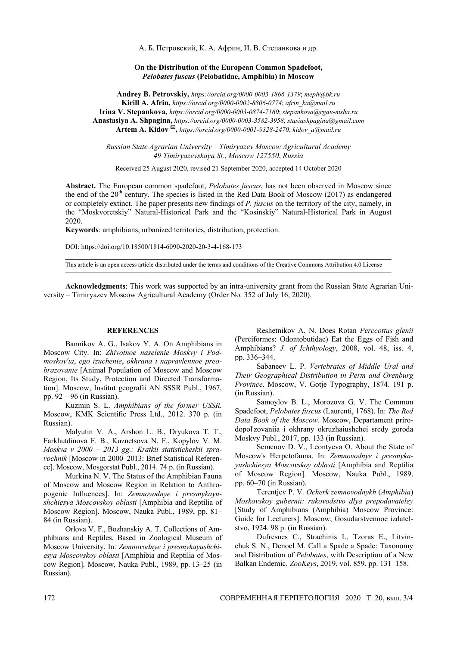А. Б. Петровский, К. А. Африн, И. В. Степанкова и др.

## **On the Distribution of the European Common Spadefoot,**  *Pelobates fuscus* **(Pelobatidae, Amphibia) in Moscow**

**Andrey B. Petrovskiy,** *https://orcid.org/0000-0003-1866-1379*; *meph*@*bk.ru* **Kirill A. Afrin,** *https://orcid.org/0000-0002-8806-0774*; *afrin\_ka*@*mail.ru* **Irina V. Stepankova,** *https://orcid.org/0000-0003-0874-7160*; *stepankova*@*rgau-msha.ru* **Anastasiya A. Shpagina,** *https://orcid.org/0000-0003-3582-3958*; *stasiashpagina*@*gmail.com* **Artem A. Kidov ,** *https://orcid.org/0000-0001-9328-2470*; *kidov\_a*@*mail.ru*

*Russian State Agrarian University* – *Timiryazev Moscow Agricultural Academy 49 Timiryazevskaya St.*, *Moscow 127550*, *Russia* 

Received 25 August 2020, revised 21 September 2020, accepted 14 October 2020

**Abstract.** The European common spadefoot, *Pelobates fuscus*, has not been observed in Moscow since the end of the  $20<sup>th</sup>$  century. The species is listed in the Red Data Book of Moscow (2017) as endangered or completely extinct. The paper presents new findings of *P. fuscus* on the territory of the city, namely, in the "Moskvoretskiy" Natural-Historical Park and the "Kosinskiy" Natural-Historical Park in August 2020.

**Keywords**: amphibians, urbanized territories, distribution, protection.

DOI: https://doi.org/10.18500/1814-6090-2020-20-3-4-168-173

This article is an open access article distributed under the terms and conditions of the Creative Commons Attribution 4.0 License

**Acknowledgments**: This work was supported by an intra-university grant from the Russian State Agrarian University – Timiryazev Moscow Agricultural Academy (Order No. 352 of July 16, 2020).

## **REFERENCES**

Bannikov A. G., Isakov Y. A. On Amphibians in Moscow City. In: *Zhivotnoe naselenie Moskvy i Podmoskov'ia*, *ego izuchenie*, *okhrana i napravlennoe preobrazovanie* [Animal Population of Moscow and Moscow Region, Its Study, Protection and Directed Transformation]. Moscow, Institut geografii AN SSSR Publ., 1967, pp. 92 – 96 (in Russian).

Kuzmin S. L. *Amphibians of the former USSR.* Moscow, KMK Scientific Press Ltd., 2012. 370 p. (in Russian).

Malyutin V. A., Arshon L. B., Dryukova T. T., Farkhutdinova F. B., Kuznetsova N. F., Kopylov V. M. *Moskva v 2000 – 2013 gg.: Kratkii statisticheskii spravochnik* [Moscow in 2000–2013: Brief Statistical Reference]. Moscow, Mosgorstat Publ., 2014. 74 p. (in Russian).

Murkina N. V. The Status of the Amphibian Fauna of Moscow and Moscow Region in Relation to Anthropogenic Influences]. In: *Zemnovodnye i presmykayushchiesya Moscovskoy oblasti* [Amphibia and Reptilia of Moscow Region]. Moscow, Nauka Publ., 1989, pp. 81– 84 (in Russian).

Orlova V. F., Bozhanskiy A. T. Collections of Amphibians and Reptiles, Based in Zoological Museum of Moscow University. In: *Zemnovodnye i presmykayushchiesya Moscovskoy oblasti* [Amphibia and Reptilia of Moscow Region]. Moscow, Nauka Publ., 1989, pp. 13–25 (in Russian).

Reshetnikov A. N. Does Rotan *Perccottus glenii* (Perciformes: Odontobutidae) Eat the Eggs of Fish and Amphibians? *J. of Ichthyology*, 2008, vol. 48, iss. 4, pp. 336–344.

Sabaneev L. P. *Vertebrates of Middle Ural and Their Geographical Distribution in Perm and Orenburg Province*. Moscow, V. Gotje Typography, 1874. 191 p. (in Russian).

Samoylov B. L., Morozova G. V. The Common Spadefoot, *Pelobates fuscus* (Laurenti, 1768). In: *The Red Data Book of the Moscow*. Moscow, Departament prirodopol'zovaniia i okhrany okruzhaiushchei sredy goroda Moskvy Publ., 2017, pp. 133 (in Russian).

Semenov D. V., Leontyeva O. About the State of Moscow's Herpetofauna. In: *Zemnovodnye i presmykayushchiesya Moscovskoy oblasti* [Amphibia and Reptilia of Moscow Region]. Moscow, Nauka Publ., 1989, pp. 60–70 (in Russian).

Terentjev P. V. *Ocherk zemnovodnykh* (*Amphibia*) *Moskovskoy gubernii: rukovodstvo dlya prepodavateley* [Study of Amphibians (Amphibia) Moscow Province: Guide for Lecturers]. Moscow, Gosudarstvennoe izdatelstvo, 1924. 98 p. (in Russian).

Dufresnes C., Strachinis I., Tzoras E., Litvinchuk S. N., Denoel M. Call a Spade a Spade: Taxonomy and Distribution of *Pelobates*, with Description of a New Balkan Endemic. *ZooKeys*, 2019, vol. 859, pp. 131–158.